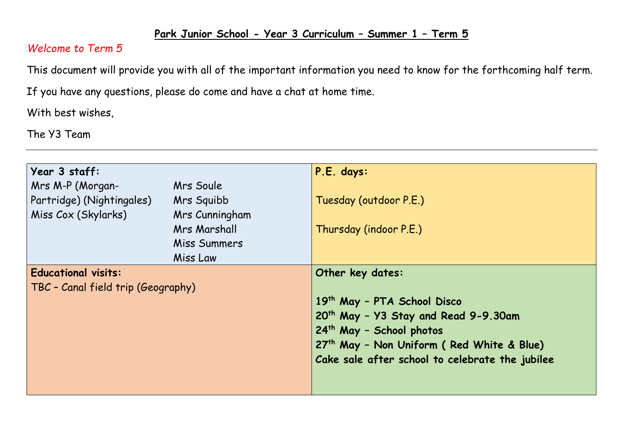## **Park Junior School - Year 3 Curriculum – Summer 1 – Term 5**

## *Welcome to Term 5*

This document will provide you with all of the important information you need to know for the forthcoming half term.

If you have any questions, please do come and have a chat at home time.

With best wishes,

The Y3 Team

| Year 3 staff:                      |                | P.E. days:                                            |  |  |
|------------------------------------|----------------|-------------------------------------------------------|--|--|
| Mrs M-P (Morgan-                   | Mrs Soule      |                                                       |  |  |
| Partridge) (Nightingales)          | Mrs Squibb     | Tuesday (outdoor P.E.)                                |  |  |
| Miss Cox (Skylarks)                | Mrs Cunningham |                                                       |  |  |
|                                    | Mrs Marshall   | Thursday (indoor P.E.)                                |  |  |
|                                    | Miss Summers   |                                                       |  |  |
|                                    | Miss Law       |                                                       |  |  |
| <b>Educational visits:</b>         |                | Other key dates:                                      |  |  |
| TBC - Canal field trip (Geography) |                |                                                       |  |  |
|                                    |                | 19th May - PTA School Disco                           |  |  |
|                                    |                | 20 <sup>th</sup> May - Y3 Stay and Read 9-9.30am      |  |  |
|                                    |                | 24 <sup>th</sup> May - School photos                  |  |  |
|                                    |                | 27 <sup>th</sup> May - Non Uniform (Red White & Blue) |  |  |
|                                    |                | Cake sale after school to celebrate the jubilee       |  |  |
|                                    |                |                                                       |  |  |
|                                    |                |                                                       |  |  |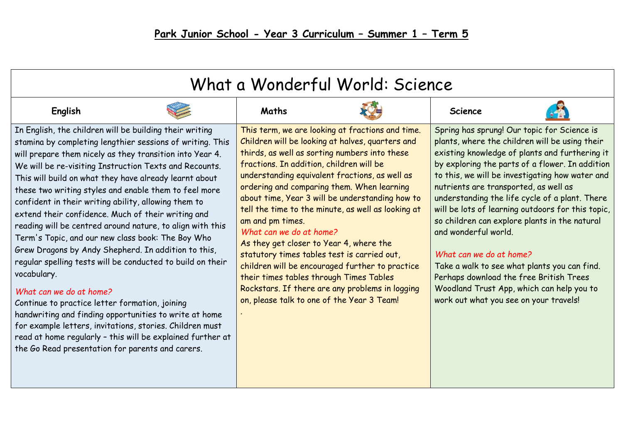| What a Wonderful World: Science                                                                                                                                                                                                                                                                                                                                                                                                                                                                                                                                                                                                                                                                                                                                                                                                                                                                                                                                                                                                                        |                                                                                                                                                                                                                                                                                                                                                                           |                                                                                                                                                                                                                                                                                                                                                                       |                                                                                                                                                                                                                                                                                                                                                                                                                                                                                                                                                                                                                                                                                             |  |  |  |  |  |
|--------------------------------------------------------------------------------------------------------------------------------------------------------------------------------------------------------------------------------------------------------------------------------------------------------------------------------------------------------------------------------------------------------------------------------------------------------------------------------------------------------------------------------------------------------------------------------------------------------------------------------------------------------------------------------------------------------------------------------------------------------------------------------------------------------------------------------------------------------------------------------------------------------------------------------------------------------------------------------------------------------------------------------------------------------|---------------------------------------------------------------------------------------------------------------------------------------------------------------------------------------------------------------------------------------------------------------------------------------------------------------------------------------------------------------------------|-----------------------------------------------------------------------------------------------------------------------------------------------------------------------------------------------------------------------------------------------------------------------------------------------------------------------------------------------------------------------|---------------------------------------------------------------------------------------------------------------------------------------------------------------------------------------------------------------------------------------------------------------------------------------------------------------------------------------------------------------------------------------------------------------------------------------------------------------------------------------------------------------------------------------------------------------------------------------------------------------------------------------------------------------------------------------------|--|--|--|--|--|
| English                                                                                                                                                                                                                                                                                                                                                                                                                                                                                                                                                                                                                                                                                                                                                                                                                                                                                                                                                                                                                                                | Maths                                                                                                                                                                                                                                                                                                                                                                     |                                                                                                                                                                                                                                                                                                                                                                       | <b>Science</b>                                                                                                                                                                                                                                                                                                                                                                                                                                                                                                                                                                                                                                                                              |  |  |  |  |  |
| In English, the children will be building their writing<br>stamina by completing lengthier sessions of writing. This<br>will prepare them nicely as they transition into Year 4.<br>We will be re-visiting Instruction Texts and Recounts.<br>This will build on what they have already learnt about<br>these two writing styles and enable them to feel more<br>confident in their writing ability, allowing them to<br>extend their confidence. Much of their writing and<br>reading will be centred around nature, to align with this<br>Term's Topic, and our new class book: The Boy Who<br>Grew Dragons by Andy Shepherd. In addition to this,<br>regular spelling tests will be conducted to build on their<br>vocabulary.<br>What can we do at home?<br>Continue to practice letter formation, joining<br>handwriting and finding opportunities to write at home<br>for example letters, invitations, stories. Children must<br>read at home regularly - this will be explained further at<br>the Go Read presentation for parents and carers. | thirds, as well as sorting numbers into these<br>fractions. In addition, children will be<br>ordering and comparing them. When learning<br>am and pm times.<br>What can we do at home?<br>As they get closer to Year 4, where the<br>statutory times tables test is carried out,<br>their times tables through Times Tables<br>on, please talk to one of the Year 3 Team! | This term, we are looking at fractions and time.<br>Children will be looking at halves, quarters and<br>understanding equivalent fractions, as well as<br>about time, Year 3 will be understanding how to<br>tell the time to the minute, as well as looking at<br>children will be encouraged further to practice<br>Rockstars. If there are any problems in logging | Spring has sprung! Our topic for Science is<br>plants, where the children will be using their<br>existing knowledge of plants and furthering it<br>by exploring the parts of a flower. In addition<br>to this, we will be investigating how water and<br>nutrients are transported, as well as<br>understanding the life cycle of a plant. There<br>will be lots of learning outdoors for this topic,<br>so children can explore plants in the natural<br>and wonderful world.<br>What can we do at home?<br>Take a walk to see what plants you can find.<br>Perhaps download the free British Trees<br>Woodland Trust App, which can help you to<br>work out what you see on your travels! |  |  |  |  |  |